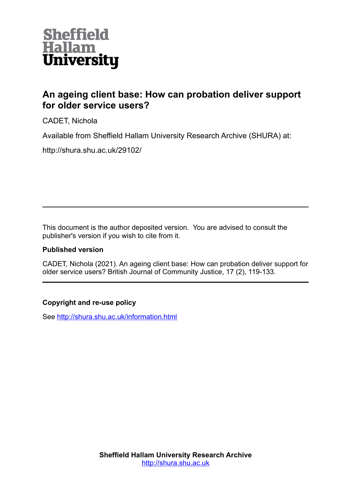

# **An ageing client base: How can probation deliver support for older service users?**

CADET, Nichola

Available from Sheffield Hallam University Research Archive (SHURA) at:

http://shura.shu.ac.uk/29102/

This document is the author deposited version. You are advised to consult the publisher's version if you wish to cite from it.

# **Published version**

CADET, Nichola (2021). An ageing client base: How can probation deliver support for older service users? British Journal of Community Justice, 17 (2), 119-133.

# **Copyright and re-use policy**

See<http://shura.shu.ac.uk/information.html>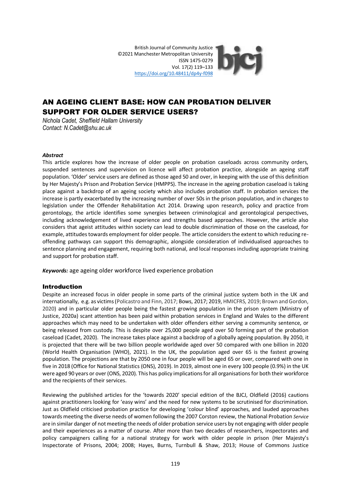British Journal of Community Justice ©2021 Manchester Metropolitan University ISSN 1475-0279 Vol. 17(2) 119–133 <https://doi.org/10.48411/dp4y-f098>

# AN AGEING CLIENT BASE: HOW CAN PROBATION DELIVER SUPPORT FOR OLDER SERVICE USERS?

*Nichola Cadet, Sheffield Hallam University Contact: N.Cadet@shu.ac.uk*

#### *Abstract*

This article explores how the increase of older people on probation caseloads across community orders, suspended sentences and supervision on licence will affect probation practice, alongside an ageing staff population. 'Older' service users are defined as those aged 50 and over, in keeping with the use of this definition by Her Majesty's Prison and Probation Service (HMPPS). The increase in the ageing probation caseload is taking place against a backdrop of an ageing society which also includes probation staff. In probation services the increase is partly exacerbated by the increasing number of over 50s in the prison population, and in changes to legislation under the Offender Rehabilitation Act 2014. Drawing upon research, policy and practice from gerontology, the article identifies some synergies between criminological and gerontological perspectives, including acknowledgement of lived experience and strengths based approaches. However, the article also considers that ageist attitudes within society can lead to double discrimination of those on the caseload, for example, attitudes towards employment for older people. The article considers the extent to which reducing reoffending pathways can support this demographic, alongside consideration of individualised approaches to sentence planning and engagement, requiring both national, and local responses including appropriate training and support for probation staff.

*Keywords:* age ageing older workforce lived experience probation

#### Introduction

Despite an increased focus in older people in some parts of the criminal justice system both in the UK and internationally, e.g. as victims (Policastro and Finn, 2017; Bows, 2017; 2019, HMICFRS, 2019; Brown and Gordon, 2020) and in particular older people being the fastest growing population in the prison system (Ministry of Justice, 2020a) scant attention has been paid within probation services in England and Wales to the different approaches which may need to be undertaken with older offenders either serving a community sentence, or being released from custody. This is despite over 25,000 people aged over 50 forming part of the probation caseload (Cadet, 2020). The increase takes place against a backdrop of a globally ageing population. By 2050, it is projected that there will be two billion people worldwide aged over 50 compared with one billion in 2020 (World Health Organisation (WHO), 2021). In the UK, the population aged over 65 is the fastest growing population. The projections are that by 2050 one in four people will be aged 65 or over, compared with one in five in 2018 (Office for National Statistics (ONS), 2019). In 2019, almost one in every 100 people (0.9%) in the UK were aged 90 years or over (ONS, 2020). This has policy implications for all organisationsfor both their workforce and the recipients of their services.

Reviewing the published articles for the 'towards 2020' special edition of the BJCJ, Oldfield (2016) cautions against practitioners looking for 'easy wins' and the need for new systems to be scrutinised for discrimination. Just as Oldfield criticised probation practice for developing 'colour blind' approaches, and lauded approaches towards meeting the diverse needs of women following the 2007 Corston review, the National Probation *Service* are in similar danger of not meeting the needs of older probation service users by not engaging with older people and their experiences as a matter of course. After more than two decades of researchers, inspectorates and policy campaigners calling for a national strategy for work with older people in prison (Her Majesty's Inspectorate of Prisons, 2004; 2008; Hayes, Burns, Turnbull & Shaw, 2013; House of Commons Justice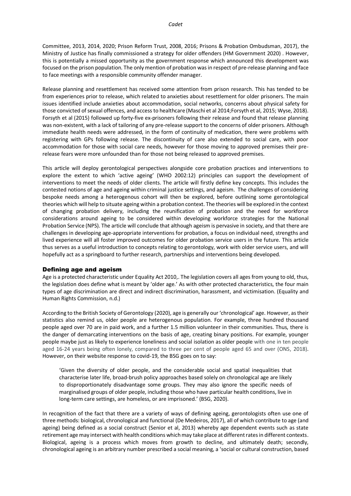to face meetings with a responsible community offender manager.

Release planning and resettlement has received some attention from prison research. This has tended to be from experiences prior to release, which related to anxieties about resettlement for older prisoners. The main issues identified include anxieties about accommodation, social networks, concerns about physical safety for those convicted of sexual offences, and access to healthcare (Maschi et al 2014;Forsyth et al, 2015; Wyse, 2018). Forsyth et al (2015) followed up forty-five ex-prisoners following their release and found that release planning was non-existent, with a lack of tailoring of any pre-release support to the concerns of older prisoners. Although immediate health needs were addressed, in the form of continuity of medication, there were problems with registering with GPs following release. The discontinuity of care also extended to social care, with poor accommodation for those with social care needs, however for those moving to approved premises their prerelease fears were more unfounded than for those not being released to approved premises.

This article will deploy gerontological perspectives alongside core probation practices and interventions to explore the extent to which 'active ageing' (WHO 2002:12) principles can support the development of interventions to meet the needs of older clients. The article will firstly define key concepts. This includes the contested notions of age and ageing within criminal justice settings, and ageism. The challenges of considering bespoke needs among a heterogenous cohort will then be explored, before outlining some gerontological theories which will help to situate ageing within a probation context. The theories will be explored in the context of changing probation delivery, including the reunification of probation and the need for workforce considerations around ageing to be considered within developing workforce strategies for the National Probation Service (NPS). The article will conclude that although ageism is pervasive in society, and that there are challenges in developing age-appropriate interventions for probation, a focus on individual need, strengths and lived experience will all foster improved outcomes for older probation service users in the future. This article thus serves as a useful introduction to concepts relating to gerontology, work with older service users, and will hopefully act as a springboard to further research, partnerships and interventions being developed.

### Defining age and ageism

Age is a protected characteristic under Equality Act 2010,. The legislation covers all ages from young to old, thus, the legislation does define what is meant by 'older age.' As with other protected characteristics, the four main types of age discrimination are direct and indirect discrimination, harassment, and victimisation. (Equality and Human Rights Commission, n.d.)

According to the British Society of Gerontology (2020), age is generally our 'chronological' age. However, as their statistics also remind us, older people are heterogenous population. For example, three hundred thousand people aged over 70 are in paid work, and a further 1.5 million volunteer in their communities. Thus, there is the danger of demarcating interventions on the basis of age, creating binary positions. For example, younger people maybe just as likely to experience loneliness and social isolation as older people with one in ten people aged 16-24 years being often lonely, compared to three per cent of people aged 65 and over (ONS, 2018). However, on their website response to covid-19, the BSG goes on to say:

'Given the diversity of older people, and the considerable social and spatial inequalities that characterise later life, broad-brush policy approaches based solely on chronological age are likely to disproportionately disadvantage some groups. They may also ignore the specific needs of marginalised groups of older people, including those who have particular health conditions, live in long-term care settings, are homeless, or are imprisoned.' (BSG, 2020).

In recognition of the fact that there are a variety of ways of defining ageing, gerontologists often use one of three methods: biological, chronological and functional (De Medeiros, 2017), all of which contribute to age (and ageing) being defined as a social construct (Senior et al, 2013) whereby age dependent events such as state retirement age may intersect with health conditions which may take place at different rates in different contexts. Biological, ageing is a process which moves from growth to decline, and ultimately death; secondly, chronological ageing is an arbitrary number prescribed a social meaning, a 'social or cultural construction, based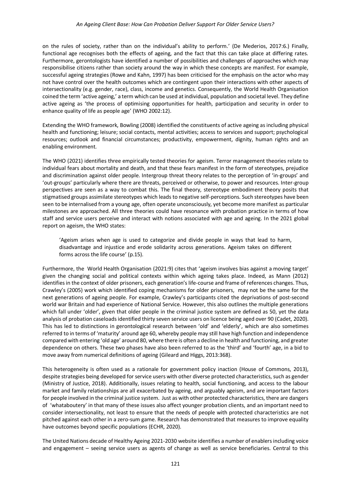on the rules of society, rather than on the individual's ability to perform.' (De Mederios, 2017:6.) Finally, functional age recognises both the effects of ageing, and the fact that this can take place at differing rates. Furthermore, gerontologists have identified a number of possibilities and challenges of approaches which may responsibilise citizens rather than society around the way in which these concepts are manifest. For example, successful ageing strategies (Rowe and Kahn, 1997) has been criticised for the emphasis on the actor who may not have control over the health outcomes which are contingent upon their interactions with other aspects of intersectionality (e.g. gender, race), class, income and genetics. Consequently, the World Health Organisation coined the term 'active ageing,' a term which can be used at individual, population and societal level. They define active ageing as 'the process of optimising opportunities for health, participation and security in order to enhance quality of life as people age' (WHO 2002:12).

Extending the WHO framework, Bowling (2008) identified the constituents of active ageing as including physical health and functioning; leisure; social contacts, mental activities; access to services and support; psychological resources; outlook and financial circumstances; productivity, empowerment, dignity, human rights and an enabling environment.

The WHO (2021) identifies three empirically tested theories for ageism. Terror management theories relate to individual fears about mortality and death, and that these fears manifest in the form of stereotypes, prejudice and discrimination against older people. Intergroup threat theory relates to the perception of 'in-groups' and 'out-groups' particularly where there are threats, perceived or otherwise, to power and resources. Inter-group perspectives are seen as a way to combat this. The final theory, stereotype embodiment theory posits that stigmatised groups assimilate stereotypes which leads to negative self-perceptions. Such stereotypes have been seen to be internalised from a young age, often operate unconsciously, yet become more manifest as particular milestones are approached. All three theories could have resonance with probation practice in terms of how staff and service users perceive and interact with notions associated with age and ageing. In the 2021 global report on ageism, the WHO states:

'Ageism arises when age is used to categorize and divide people in ways that lead to harm, disadvantage and injustice and erode solidarity across generations. Ageism takes on different forms across the life course' (p.15).

Furthermore, the World Health Organisation (2021:9) cites that 'ageism involves bias against a moving target' given the changing social and political contexts within which ageing takes place. Indeed, as Mann (2012) identifies in the context of older prisoners, each generation's life-course and frame of references changes. Thus, Crawley's (2005) work which identified coping mechanisms for older prisoners, may not be the same for the next generations of ageing people. For example, Crawley's participants cited the deprivations of post-second world war Britain and had experience of National Service. However, this also outlines the multiple generations which fall under 'older', given that older people in the criminal justice system are defined as 50, yet the data analysis of probation caseloads identified thirty seven service users on licence being aged over 90 (Cadet, 2020). This has led to distinctions in gerontological research between 'old' and 'elderly', which are also sometimes referred to in terms of 'maturity' around age 60, whereby people may still have high function and independence compared with entering 'old age' around 80, where there is often a decline in health and functioning, and greater dependence on others. These two phases have also been referred to as the 'third' and 'fourth' age, in a bid to move away from numerical definitions of ageing (Gileard and Higgs, 2013:368).

This heterogeneity is often used as a rationale for government policy inaction (House of Commons, 2013), despite strategies being developed for service users with other diverse protected characteristics, such as gender (Ministry of Justice, 2018). Additionally, issues relating to health, social functioning, and access to the labour market and family relationships are all exacerbated by ageing, and arguably ageism, and are important factors for people involved in the criminal justice system. Just as with other protected characteristics, there are dangers of 'whataboutery' in that many of these issues also affect younger probation clients, and an important need to consider intersectionality, not least to ensure that the needs of people with protected characteristics are not pitched against each other in a zero-sum game. Research has demonstrated that measures to improve equality have outcomes beyond specific populations (ECHR, 2020).

The United Nations decade of Healthy Ageing 2021-2030 website identifies a number of enablers including voice and engagement – seeing service users as agents of change as well as service beneficiaries. Central to this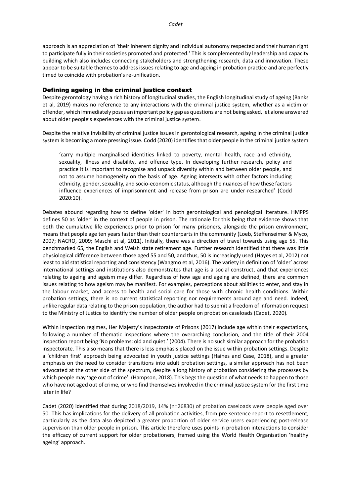approach is an appreciation of 'their inherent dignity and individual autonomy respected and their human right to participate fully in their societies promoted and protected.' This is complemented by leadership and capacity building which also includes connecting stakeholders and strengthening research, data and innovation. These appear to be suitable themes to address issues relating to age and ageing in probation practice and are perfectly timed to coincide with probation's re-unification.

#### Defining ageing in the criminal justice context

Despite gerontology having a rich history of longitudinal studies, the English longitudinal study of ageing (Banks et al, 2019) makes no reference to any interactions with the criminal justice system, whether as a victim or offender, which immediately poses an important policy gap as questions are not being asked, let alone answered about older people's experiences with the criminal justice system.

Despite the relative invisibility of criminal justice issues in gerontological research, ageing in the criminal justice system is becoming a more pressing issue. Codd (2020) identifies that older people in the criminal justice system

'carry multiple marginalised identities linked to poverty, mental health, race and ethnicity, sexuality, illness and disability, and offence type. In developing further research, policy and practice it is important to recognise and unpack diversity within and between older people, and not to assume homogeneity on the basis of age. Ageing intersects with other factors including ethnicity, gender, sexuality, and socio-economic status, although the nuances of how these factors influence experiences of imprisonment and release from prison are under-researched' (Codd 2020:10).

Debates abound regarding how to define 'older' in both gerontological and penological literature. HMPPS defines 50 as 'older' in the context of people in prison. The rationale for this being that evidence shows that both the cumulative life experiences prior to prison for many prisoners, alongside the prison environment, means that people age ten years faster than their counterparts in the community (Loeb, Steffenseimer & Myco, 2007; NACRO, 2009; Maschi et al, 2011). Initially, there was a direction of travel towards using age 55. This benchmarked 65, the English and Welsh state retirement age. Further research identified that there was little physiological difference between those aged 55 and 50, and thus, 50 is increasingly used (Hayes et al, 2012) not least to aid statistical reporting and consistency (Wangmo et al, 2016). The variety in definition of 'older' across international settings and institutions also demonstrates that age is a social construct, and that experiences relating to ageing and ageism may differ. Regardless of how age and ageing are defined, there are common issues relating to how ageism may be manifest. For examples, perceptions about abilities to enter, and stay in the labour market, and access to health and social care for those with chronic health conditions. Within probation settings, there is no current statistical reporting nor requirements around age and need. Indeed, unlike regular data relating to the prison population, the author had to submit a freedom of information request to the Ministry of Justice to identify the number of older people on probation caseloads (Cadet, 2020).

Within inspection regimes, Her Majesty's Inspectorate of Prisons (2017) include age within their expectations, following a number of thematic inspections where the overarching conclusion, and the title of their 2004 inspection report being 'No problems: old and quiet.' (2004). There is no such similar approach for the probation inspectorate. This also means that there is less emphasis placed on the issue within probation settings. Despite a 'children first' approach being advocated in youth justice settings (Haines and Case, 2018), and a greater emphasis on the need to consider transitions into adult probation settings, a similar approach has not been advocated at the other side of the spectrum, despite a long history of probation considering the processes by which people may 'age out of crime'. (Hampson, 2018). This begs the question of what needs to happen to those who have not aged out of crime, or who find themselves involved in the criminal justice system for the first time later in life?

Cadet (2020) identified that during 2018/2019, 14% (n=26830) of probation caseloads were people aged over 50. This has implications for the delivery of all probation activities, from pre-sentence report to resettlement, particularly as the data also depicted a greater proportion of older service users experiencing post-release supervision than older people in prison. This article therefore uses points in probation interactions to consider the efficacy of current support for older probationers, framed using the World Health Organisation 'healthy ageing' approach.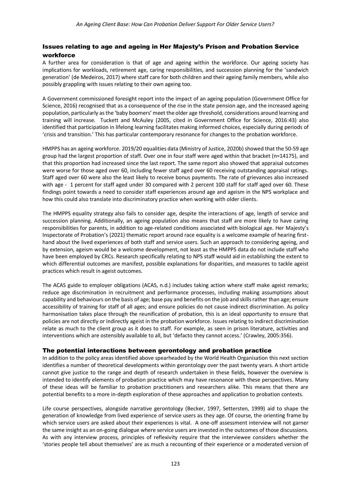## Issues relating to age and ageing in Her Majesty's Prison and Probation Service workforce

A further area for consideration is that of age and ageing within the workforce. Our ageing society has implications for workloads, retirement age, caring responsibilities, and succession planning for the 'sandwich generation' (de Medeiros, 2017) where staff care for both children and their ageing family members, while also possibly grappling with issues relating to their own ageing too.

A Government commissioned foresight report into the impact of an ageing population (Government Office for Science, 2016) recognised that as a consequence of the rise in the state pension age, and the increased ageing population, particularly as the 'baby boomers' meet the older age threshold, considerations around learning and training will increase. Tuckett and McAuley (2005, cited in Government Office for Science, 2016:43) also identified that participation in lifelong learning facilitates making informed choices, especially during periods of 'crisis and transition.' This has particular contemporary resonance for changes to the probation workforce.

HMPPS has an ageing workforce. 2019/20 equalities data (Ministry of Justice, 2020b) showed that the 50-59 age group had the largest proportion of staff. Over one in four staff were aged within that bracket (n=14175), and that this proportion had increased since the last report. The same report also showed that appraisal outcomes were worse for those aged over 60, including fewer staff aged over 60 receiving outstanding appraisal ratings. Staff aged over 60 were also the least likely to receive bonus payments. The rate of grievances also increased with age - 1 percent for staff aged under 30 compared with 2 percent 100 staff for staff aged over 60. These findings point towards a need to consider staff experiences around age and ageism in the NPS workplace and how this could also translate into discriminatory practice when working with older clients.

The HMPPS equality strategy also fails to consider age, despite the interactions of age, length of service and succession planning. Additionally, an ageing population also means that staff are more likely to have caring responsibilities for parents, in addition to age-related conditions associated with biological age. Her Majesty's Inspectorate of Probation's (2021) thematic report around race equality is a welcome example of hearing firsthand about the lived experiences of both staff and service users. Such an approach to considering ageing, and by extension, ageism would be a welcome development, not least as the HMPPS data do not include staff who have been employed by CRCs. Research specifically relating to NPS staff would aid in establishing the extent to which differential outcomes are manifest, possible explanations for disparities, and measures to tackle ageist practices which result in ageist outcomes.

The ACAS guide to employer obligations (ACAS, n.d.) includes taking action where staff make ageist remarks; reduce age discrimination in recruitment and performance processes, including making assumptions about capability and behaviours on the basis of age; base pay and benefits on the job and skills rather than age; ensure accessibility of training for staff of all ages; and ensure policies do not cause indirect discrimination. As policy harmonisation takes place through the reunification of probation, this is an ideal opportunity to ensure that policies are not directly or indirectly ageist in the probation workforce. Issues relating to indirect discrimination relate as much to the client group as it does to staff. For example, as seen in prison literature, activities and interventions which are ostensibly available to all, but 'defacto they cannot access.' (Crawley, 2005:356).

#### The potential interactions between gerontology and probation practice

In addition to the policy areas identified above spearheaded by the World Health Organisation this next section identifies a number of theoretical developments within gerontology over the past twenty years. A short article cannot give justice to the range and depth of research undertaken in these fields, however the overview is intended to identify elements of probation practice which may have resonance with these perspectives. Many of these ideas will be familiar to probation practitioners and researchers alike. This means that there are potential benefits to a more in-depth exploration of these approaches and application to probation contexts.

Life course perspectives, alongside narrative gerontology (Becker, 1997, Settersten, 1999) aid to shape the generation of knowledge from lived experience of service users as they age. Of course, the orienting frame by which service users are asked about their experiences is vital. A one-off assessment interview will not garner the same insight as an on-going dialogue where service users are invested in the outcomes of those discussions. As with any interview process, principles of reflexivity require that the interviewee considers whether the 'stories people tell about themselves' are as much a recounting of their experience or a moderated version of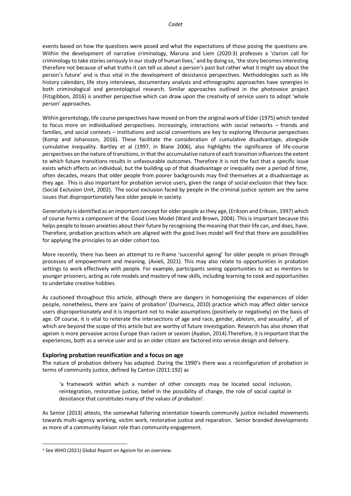events based on how the questions were posed and what the expectations of those posing the questions are. Within the development of narrative criminology, Maruna and Liem (2020:3) professes a 'clarion call for criminology to take stories seriously in our study of human lives,' and by doing so, 'the story becomes interesting therefore not because of what truths it can tell us about a person's past but rather what it might say about the person's future' and is thus vital in the development of desistance perspectives. Methodologies such as life history calendars, life story interviews, documentary analysis and ethnographic approaches have synergies in both criminological and gerontological research. Similar approaches outlined in the photovoice project (Fitzgibbon, 2016) is another perspective which can draw upon the creativity of service users to adopt 'whole person' approaches.

Within gerontology, life course perspectives have moved on from the original work of Elder (1975) which tended to focus more on individualised perspectives. Increasingly, interactions with social networks – friends and families, and social contexts – institutions and social conventions are key to exploring lifecourse perspectives (Komp and Johansson, 2016). These facilitate the consideration of cumulative disadvantage, alongside cumulative inequality. Bartley et al (1997, in Blane 2006), also highlights the significance of life-course perspectives on the nature of transitions, in that the accumulative nature of each transition influences the extent to which future transitions results in unfavourable outcomes. Therefore it is not the fact that a specific issue exists which affects an individual, but the building up of that disadvantage or inequality over a period of time, often decades, means that older people from poorer backgrounds may find themselves at a disadvantage as they age. This is also important for probation service users, given the range of social exclusion that they face. (Social Exclusion Unit, 2002). The social exclusion faced by people in the criminal justice system are the same issues that disproportionately face older people in society.

Generativity is identified as an important concept for older people as they age, (Erikson and Erikson, 1997) which of course forms a component of the Good Lives Model (Ward and Brown, 2004). This is important because this helps people to lessen anxieties about their future by recognising the meaning that their life can, and does, have. Therefore, probation practices which are aligned with the good lives model will find that there are possibilities for applying the principles to an older cohort too.

More recently, there has been an attempt to re-frame 'successful ageing' for older people in prison through processes of empowerment and meaning. (Avieli, 2021). This may also relate to opportunities in probation settings to work effectively with people. For example, participants seeing opportunities to act as mentors to younger prisoners, acting as role models and mastery of new skills, including learning to cook and opportunities to undertake creative hobbies.

As cautioned throughout this article, although there are dangers in homogenising the experiences of older people, nonetheless, there are 'pains of probation' (Durnescu, 2010) practice which may affect older service users disproportionately and it is important not to make assumptions (positively or negatively) on the basis of age. Of course, it is vital to reiterate the intersections of age and race, gender, ableism, and sexuality<sup>1</sup>, all of which are beyond the scope of this article but are worthy of future investigation. Research has also shown that ageism is more pervasive across Europe than racism or sexism (Ayalon, 2014).Therefore, it is important that the experiences, both as a service user and as an older citizen are factored into service design and delivery.

#### **Exploring probation reunification and a focus on age**

**T**he nature of probation delivery has adapted. During the 1990's there was a reconfiguration of probation in terms of community justice, defined by Canton (2011:192) as

'a framework within which a number of other concepts may be located social inclusion, reintegration, restorative justice, belief in the possibility of change, the role of social capital in desistance that constitutes many of the values of probation'.

As Senior (2013) attests, the somewhat faltering orientation towards community justice included movements towards multi-agency working, victim work, restorative justice and reparation. Senior branded developments as more of a community liaison role than community engagement.

<sup>1</sup> See WHO (2021) Global Report on Ageism for an overview.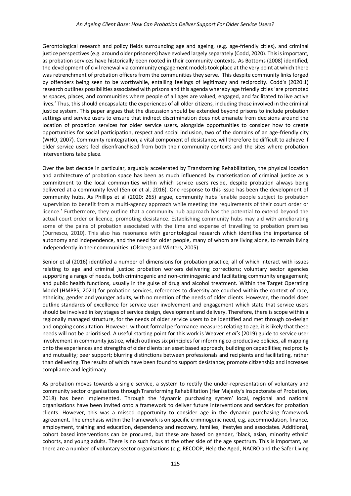#### *An Ageing Client Base: How Can Probation Deliver Support For Older Service Users?*

Gerontological research and policy fields surrounding age and ageing, (e.g. age-friendly cities), and criminal justice perspectives (e.g. around older prisoners) have evolved largely separately (Codd, 2020). This is important, as probation services have historically been rooted in their community contexts. As Bottoms (2008) identified, the development of civil renewal via community engagement models took place at the very point at which there was retrenchment of probation officers from the communities they serve. This despite community links forged by offenders being seen to be worthwhile, entailing feelings of legitimacy and reciprocity. Codd's (2020:1) research outlines possibilities associated with prisons and this agenda whereby age friendly cities 'are promoted as spaces, places, and communities where people of all ages are valued, engaged, and facilitated to live active lives.' Thus, this should encapsulate the experiences of all older citizens, including those involved in the criminal justice system. This paper argues that the discussion should be extended beyond prisons to include probation settings and service users to ensure that indirect discrimination does not emanate from decisions around the location of probation services for older service users, alongside opportunities to consider how to create opportunities for social participation, respect and social inclusion, two of the domains of an age-friendly city (WHO, 2007). Community reintegration, a vital component of desistance, will therefore be difficult to achieve if older service users feel disenfranchised from both their community contexts and the sites where probation interventions take place.

Over the last decade in particular, arguably accelerated by Transforming Rehabilitation, the physical location and architecture of probation space has been as much influenced by marketisation of criminal justice as a commitment to the local communities within which service users reside, despite probation always being delivered at a community level (Senior et al, 2016). One response to this issue has been the development of community hubs. As Phillips et al (2020: 265) argue, community hubs 'enable people subject to probation supervision to benefit from a multi-agency approach while meeting the requirements of their court order or licence.' Furthermore, they outline that a community hub approach has the potential to extend beyond the actual court order or licence, promoting desistance. Establishing community hubs may aid with ameliorating some of the pains of probation associated with the time and expense of travelling to probation premises (Durnescu, 2010). This also has resonance with gerontological research which identifies the importance of autonomy and independence, and the need for older people, many of whom are living alone, to remain living independently in their communities. (Olsberg and Winters, 2005).

Senior et al (2016) identified a number of dimensions for probation practice, all of which interact with issues relating to age and criminal justice: probation workers delivering corrections; voluntary sector agencies supporting a range of needs, both criminogenic and non-criminogenic and facilitating community engagement; and public health functions, usually in the guise of drug and alcohol treatment. Within the Target Operating Model (HMPPS, 2021) for probation services, references to diversity are couched within the context of race, ethnicity, gender and younger adults, with no mention of the needs of older clients. However, the model does outline standards of excellence for service user involvement and engagement which state that service users should be involved in key stages of service design, development and delivery. Therefore, there is scope within a regionally managed structure, for the needs of older service users to be identified and met through co-design and ongoing consultation. However, without formal performance measures relating to age, it is likely that these needs will not be prioritised. A useful starting point for this work is Weaver *et al's* (2019) guide to service user involvement in community justice, which outlines six principles for informing co-productive policies, all mapping onto the experiences and strengths of older clients: an asset based approach; building on capabilities; reciprocity and mutuality; peer support; blurring distinctions between professionals and recipients and facilitating, rather than delivering. The results of which have been found to support desistance; promote citizenship and increases compliance and legitimacy.

As probation moves towards a single service, a system to rectify the under-representation of voluntary and community sector organisations through Transforming Rehabilitation (Her Majesty's Inspectorate of Probation, 2018) has been implemented. Through the 'dynamic purchasing system' local, regional and national organisations have been invited onto a framework to deliver future interventions and services for probation clients. However, this was a missed opportunity to consider age in the dynamic purchasing framework agreement. The emphasis within the framework is on specific criminogenic need, e.g. accommodation, finance, employment, training and education, dependency and recovery, families, lifestyles and associates. Additional, cohort based interventions can be procured, but these are based on gender, 'black, asian, minority ethnic' cohorts, and young adults. There is no such focus at the other side of the age spectrum. This is important, as there are a number of voluntary sector organisations (e.g. RECOOP, Help the Aged, NACRO and the Safer Living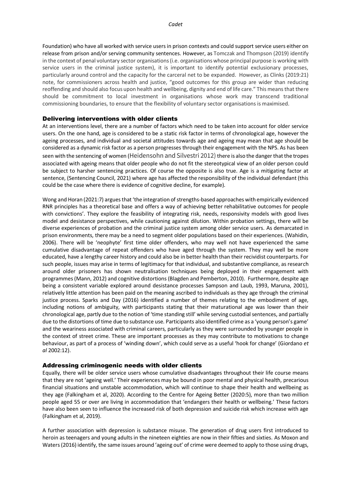Foundation) who have all worked with service users in prison contexts and could support service users either on release from prison and/or serving community sentences. However, as Tomczak and Thompson (2019) identify in the context of penal voluntary sector organisations (i.e. organisations whose principal purpose is working with service users in the criminal justice system), it is important to identify potential exclusionary processes, particularly around control and the capacity for the carceral net to be expanded. However, as Clinks (2019:21) note, for commissioners across health and justice, "good outcomes for this group are wider than reducing reoffending and should also focus upon health and wellbeing, dignity and end of life care." This means that there should be commitment to local investment in organisations whose work may transcend traditional commissioning boundaries, to ensure that the flexibility of voluntary sector organisations is maximised.

#### Delivering interventions with older clients

At an interventions level, there are a number of factors which need to be taken into account for older service users. On the one hand, age is considered to be a static risk factor in terms of chronological age, however the ageing processes, and individual and societal attitudes towards age and ageing may mean that age should be considered as a dynamic risk factor as a person progresses through their engagement with the NPS. As has been seen with the sentencing of women (Heidensohn and Silvestri 2012) there is also the danger that the tropes associated with ageing means that older people who do not fit the stereotypical view of an older person could be subject to harsher sentencing practices. Of course the opposite is also true. Age is a mitigating factor at sentence, (Sentencing Council, 2021) where age has affected the responsibility of the individual defendant (this could be the case where there is evidence of cognitive decline, for example).

Wong and Horan (2021:7) argues that 'the integration of strengths-based approaches with empirically evidenced RNR principles has a theoretical base and offers a way of achieving better rehabilitative outcomes for people with convictions'. They explore the feasibility of integrating risk, needs, responsivity models with good lives model and desistance perspectives, while cautioning against dilution. Within probation settings, there will be diverse experiences of probation and the criminal justice system among older service users. As demarcated in prison environments, there may be a need to segment older populations based on their experiences. (Wahidin, 2006). There will be 'neophyte' first time older offenders, who may well not have experienced the same cumulative disadvantage of repeat offenders who have aged through the system. They may well be more educated, have a lengthy career history and could also be in better health than their recividist counterparts. For such people, issues may arise in terms of legitimacy for that individual, and substantive compliance, as research around older prisoners has shown neutralisation techniques being deployed in their engagement with programmes (Mann, 2012) and cognitive distortions (Blagden and Pemberton, 2010). Furthermore, despite age being a consistent variable explored around desistance processes Sampson and Laub, 1993, Maruna, 2001), relatively little attention has been paid on the meaning ascribed to individuals as they age through the criminal justice process. Sparks and Day (2016) identified a number of themes relating to the embodiment of age, including notions of ambiguity, with participants stating that their maturational age was lower than their chronological age, partly due to the notion of 'time standing still' while serving custodial sentences, and partially due to the distortions of time due to substance use. Participants also identified crime as a 'young person's game' and the weariness associated with criminal careers, particularly as they were surrounded by younger people in the context of street crime. These are important processes as they may contribute to motivations to change behaviour, as part of a process of 'winding down', which could serve as a useful 'hook for change' (Giordano *et al* 2002:12).

#### Addressing criminogenic needs with older clients

Equally, there will be older service users whose cumulative disadvantages throughout their life course means that they are not 'ageing well.' Their experiences may be bound in poor mental and physical health, precarious financial situations and unstable accommodation, which will continue to shape their health and wellbeing as they age (Falkingham et al, 2020). According to the Centre for Ageing Better (2020:5), more than two million people aged 55 or over are living in accommodation that 'endangers their health or wellbeing.' These factors have also been seen to influence the increased risk of both depression and suicide risk which increase with age (Falkingham et al, 2019).

A further association with depression is substance misuse. The generation of drug users first introduced to heroin as teenagers and young adults in the nineteen eighties are now in their fifties and sixties. As Moxon and Waters (2016) identify, the same issues around 'ageing out' of crime were deemed to apply to those using drugs,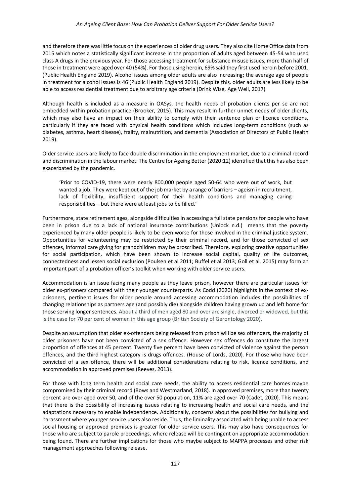and therefore there was little focus on the experiences of older drug users. They also cite Home Office data from 2015 which notes a statistically significant increase in the proportion of adults aged between 45-54 who used class A drugs in the previous year. For those accessing treatment for substance misuse issues, more than half of those in treatment were aged over 40 (54%). For those using heroin, 69% said they first used heroin before 2001. (Public Health England 2019). Alcohol issues among older adults are also increasing; the average age of people in treatment for alcohol issues is 46 (Public Health England 2019). Despite this, older adults are less likely to be able to access residential treatment due to arbitrary age criteria (Drink Wise, Age Well, 2017).

Although health is included as a measure in OASys, the health needs of probation clients per se are not embedded within probation practice (Brooker, 2015). This may result in further unmet needs of older clients, which may also have an impact on their ability to comply with their sentence plan or licence conditions, particularly if they are faced with physical health conditions which includes long-term conditions (such as diabetes, asthma, heart disease), frailty, malnutrition, and dementia (Association of Directors of Public Health 2019).

Older service users are likely to face double discrimination in the employment market, due to a criminal record and discrimination in the labour market. The Centre for Ageing Better (2020:12) identified that this has also been exacerbated by the pandemic.

'Prior to COVID-19, there were nearly 800,000 people aged 50-64 who were out of work, but wanted a job. They were kept out of the job market by a range of barriers – ageism in recruitment, lack of flexibility, insufficient support for their health conditions and managing caring responsibilities – but there were at least jobs to be filled.'

Furthermore, state retirement ages, alongside difficulties in accessing a full state pensions for people who have been in prison due to a lack of national insurance contributions (Unlock n.d.) means that the poverty experienced by many older people is likely to be even worse for those involved in the criminal justice system. Opportunities for volunteering may be restricted by their criminal record, and for those convicted of sex offences, informal care giving for grandchildren may be proscribed. Therefore, exploring creative opportunities for social participation, which have been shown to increase social capital, quality of life outcomes, connectedness and lessen social exclusion (Poulsen et al 2011; Buffel et al 2013; Goll et al, 2015) may form an important part of a probation officer's toolkit when working with older service users.

Accommodation is an issue facing many people as they leave prison, however there are particular issues for older ex-prisoners compared with their younger counterparts. As Codd (2020) highlights in the context of exprisoners, pertinent issues for older people around accessing accommodation includes the possibilities of changing relationships as partners age (and possibly die) alongside children having grown up and left home for those serving longer sentences. About a third of men aged 80 and over are single, divorced or widowed, but this is the case for 70 per cent of women in this age group (British Society of Gerontology 2020).

Despite an assumption that older ex-offenders being released from prison will be sex offenders, the majority of older prisoners have not been convicted of a sex offence. However sex offences do constitute the largest proportion of offences at 45 percent. Twenty five percent have been convicted of violence against the person offences, and the third highest category is drugs offences. (House of Lords, 2020). For those who have been convicted of a sex offence, there will be additional considerations relating to risk, licence conditions, and accommodation in approved premises (Reeves, 2013).

For those with long term health and social care needs, the ability to access residential care homes maybe compromised by their criminal record (Bows and Westmarland, 2018). In approved premises, more than twenty percent are over aged over 50, and of the over 50 population, 11% are aged over 70 (Cadet, 2020). This means that there is the possibility of increasing issues relating to increasing health and social care needs, and the adaptations necessary to enable independence. Additionally, concerns about the possibilities for bullying and harassment where younger service users also reside. Thus, the liminality associated with being unable to access social housing or approved premises is greater for older service users. This may also have consequences for those who are subject to parole proceedings, where release will be contingent on appropriate accommodation being found. There are further implications for those who maybe subject to MAPPA processes and other risk management approaches following release.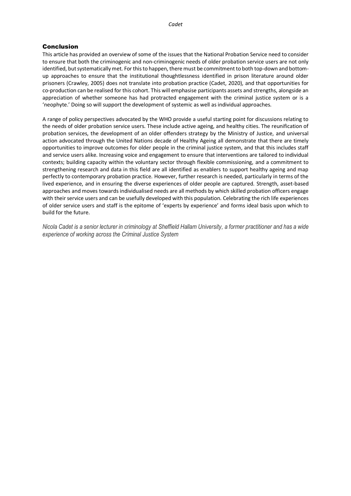### Conclusion

This article has provided an overview of some of the issues that the National Probation Service need to consider to ensure that both the criminogenic and non-criminogenic needs of older probation service users are not only identified, but systematically met. For this to happen, there must be commitment to both top-down and bottomup approaches to ensure that the institutional thoughtlessness identified in prison literature around older prisoners (Crawley, 2005) does not translate into probation practice (Cadet, 2020), and that opportunities for co-production can be realised for this cohort. This will emphasise participants assets and strengths, alongside an appreciation of whether someone has had protracted engagement with the criminal justice system or is a 'neophyte.' Doing so will support the development of systemic as well as individual approaches.

A range of policy perspectives advocated by the WHO provide a useful starting point for discussions relating to the needs of older probation service users. These include active ageing, and healthy cities. The reunification of probation services, the development of an older offenders strategy by the Ministry of Justice, and universal action advocated through the United Nations decade of Healthy Ageing all demonstrate that there are timely opportunities to improve outcomes for older people in the criminal justice system, and that this includes staff and service users alike. Increasing voice and engagement to ensure that interventions are tailored to individual contexts; building capacity within the voluntary sector through flexible commissioning, and a commitment to strengthening research and data in this field are all identified as enablers to support healthy ageing and map perfectly to contemporary probation practice. However, further research is needed, particularly in terms of the lived experience, and in ensuring the diverse experiences of older people are captured. Strength, asset-based approaches and moves towards individualised needs are all methods by which skilled probation officers engage with their service users and can be usefully developed with this population. Celebrating the rich life experiences of older service users and staff is the epitome of 'experts by experience' and forms ideal basis upon which to build for the future.

*Nicola Cadet is a senior lecturer in criminology at Sheffield Hallam University, a former practitioner and has a wide experience of working across the Criminal Justice System*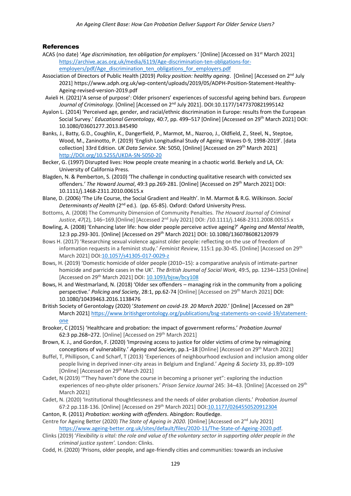### **References**

- ACAS (no date) '*Age discrimination, ten obligation for employers.'* [Online] [Accessed on 31st March 2021] [https://archive.acas.org.uk/media/6119/Age-discrimination-ten-obligations-for](https://archive.acas.org.uk/media/6119/Age-discrimination-ten-obligations-for-employers/pdf/Age_discrimination_ten_obligations_for_employers.pdf)[employers/pdf/Age\\_discrimination\\_ten\\_obligations\\_for\\_employers.pdf](https://archive.acas.org.uk/media/6119/Age-discrimination-ten-obligations-for-employers/pdf/Age_discrimination_ten_obligations_for_employers.pdf)
- Association of Directors of Public Health (2019) *Policy position: healthy ageing*. [Online] [Accessed on 2nd July 2021] https://www.adph.org.uk/wp-content/uploads/2019/05/ADPH-Position-Statement-Healthy-Ageing-revised-version-2019.pdf
- Avieli H. (2021)'A sense of purpose': Older prisoners' experiences of successful ageing behind bars. *European Journal of Criminology.* [Online] [Accessed on 2nd July 2021]. DOI:10.1177/1477370821995142
- Ayalon L. (2014) 'Perceived age, gender, and racial/ethnic discrimination in Europe: results from the European Social Survey.' Educational Gerontology, 40:7, pp. 499–517 [Online] [Accessed on 29<sup>th</sup> March 2021] DOI: 10.1080/03601277.2013.845490
- Banks, J., Batty, G.D., Coughlin, K., Dangerfield, P., Marmot, M., Nazroo, J., Oldfield, Z., Steel, N., Steptoe, Wood, M., Zaninotto, P. (2019) 'English Longitudinal Study of Ageing: Waves 0-9, 1998-2019'. [data collection] 33rd Edition. *UK Data Service*. SN: 5050, [Online] [Accessed on 29th March 2021] [http://DOI.org/10.5255/UKDA-SN-5050-20](http://doi.org/10.5255/UKDA-SN-5050-20)
- Becker, G. (1997) Disrupted lives: How people create meaning in a chaotic world. Berkely and LA, CA: University of California Press.
- Blagden, N. & Pemberton, S. (2010) 'The challenge in conducting qualitative research with convicted sex offenders.' The Howard Journal, 49:3 pp.269-281. [Online] [Accessed on 29<sup>th</sup> March 2021] DOI: 10.1111/j.1468-2311.2010.00615.x
- Blane, D. (2006) 'The Life Course, the Social Gradient and Health'. In M. Marmot & R.G. Wilkinson. *Social Determinants of Health* (2nd ed.). (pp. 65-85). Oxford: Oxford University Press.
- Bottoms, A. (2008) The Community Dimension of Community Penalties. *The Howard Journal of Criminal Justice*, *47*(2), 146–169.[Online] [Accessed 2nd July 2021] DOI: /10.1111/j.1468-2311.2008.00515.x
- Bowling, A. (2008) 'Enhancing later life: how older people perceive active ageing?' *Ageing and Mental Health*, 12:3 pp.293-301. [Online] [Accessed on 29th March 2021] DOI: 10.1080/1360786082120979
- Bows H. (2017) 'Researching sexual violence against older people: reflecting on the use of freedom of information requests in a feminist study.' *Feminist Review*, 115:1 pp.30-45. [Online] [Accessed on 29th March 2021] DOI[:10.1057/s41305-017-0029-z](https://doi.org/10.1057/s41305-017-0029-z)
- Bows, H. (2019) 'Domestic homicide of older people (2010–15): a comparative analysis of intimate-partner homicide and parricide cases in the UK'. *The British Journal of Social Work,* 49:5, pp. 1234–1253 [Online] [Accessed on 29th March 2021] DOI: [10.1093/bjsw/bcy108](https://doi.org/10.1093/bjsw/bcy108)
- Bows, H. and Westmarland, N. (2018) 'Older sex offenders managing risk in the community from a policing perspective.' *Policing and Society*, 28:1, pp.62-74 [Online] [Accessed on 29th March 2021] DOI: 10.1080/10439463.2016.1138476
- British Society of Gerontology (2020) '*Statement on covid-19. 20 March 2020*.' [Online] [Accessed on 28th March 2021[\] https://www.britishgerontology.org/publications/bsg-statements-on-covid-19/statement](https://www.britishgerontology.org/publications/bsg-statements-on-covid-19/statement-one)[one](https://www.britishgerontology.org/publications/bsg-statements-on-covid-19/statement-one)
- Brooker, C (2015) 'Healthcare and probation: the impact of government reforms.' *Probation Journal* 62:3 pp.268–272. [Online] [Accessed on 29th March 2021]
- Brown, K. J., and Gordon, F. (2020) 'Improving access to justice for older victims of crime by reimagining conceptions of vulnerability.' *Ageing and Society*, pp.1–18 [Online] [Accessed on 29th March 2021]
- Buffel, T, Phillipson, C and Scharf, T (2013) 'Experiences of neighbourhood exclusion and inclusion among older people living in deprived inner-city areas in Belgium and England.' *Ageing & Society* 33, pp.89–109 [Online] [Accessed on 29<sup>th</sup> March 2021]
- Cadet, N (2019) '"They haven't done the course in becoming a prisoner yet": exploring the induction experiences of neo-phyte older prisoners.' *Prison Service Journal* 245: 34–43. [Online] [Accessed on 29th March 2021]
- Cadet, N. (2020) 'Institutional thoughtlessness and the needs of older probation clients.' *Probation Journal* 67:2 pp.118-136. [Online] [Accessed on 29th March 2021] DOI[:10.1177/0264550520912304](https://doi.org/10.1177/0264550520912304)
- Canton, R. (2011) *Probation: working with offenders*. Abingdon: Routledge.
- Centre for Ageing Better (2020) *The State of Ageing in 2020.* [Online] [Accessed on 2nd July 2021] [https://www.ageing-better.org.uk/sites/default/files/2020-11/The-State-of-Ageing-2020.pdf.](https://www.ageing-better.org.uk/sites/default/files/2020-11/The-State-of-Ageing-2020.pdf)
- Clinks (2019) '*Flexibility is vital: the role and value of the voluntary sector in supporting older people in the criminal justice system'.* London: Clinks.
- Codd, H. (2020) 'Prisons, older people, and age-friendly cities and communities: towards an inclusive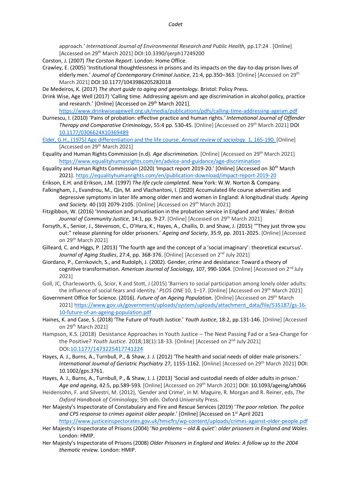approach*.' International Journal of Environmental Research and Public Health,* pp.17:24 . [Online] [Accessed on 29th March 2021] DOI:10.3390/ijerph17249200

Corston, J. (2007) *The Corston Report*. London: Home Office.

Crawley, E. (2005) 'Institutional thoughtlessness in prisons and its impacts on the day-to-day prison lives of elderly men.' *Journal of Contemporary Criminal Justice*, 21:4, pp.350–363. [Online] [Accessed on 29th March 2021] DOI:10.1177/1043986205282018

De Medeiros, K. (2017) *The short guide to aging and gerontology.* Bristol: Policy Press.

Drink Wise, Age Well (2017) 'Calling time. Addressing ageism and age discrimination in alcohol policy, practice and research.' [Online] [Accessed on 29<sup>th</sup> March 2021].

<https://www.drinkwiseagewell.org.uk/media/publications/pdfs/calling-time-addressing-ageism.pdf>

- Durnescu, I. (2010) 'Pains of probation: effective practice and human rights.*' International Journal of Offender Therapy and Comparative Criminology*, 55:4 pp. 530-45. [Online] [Accessed on 29th March 2021] DOI [10.1177/0306624X10369489](https://www.researchgate.net/deref/http%3A%2F%2Fdx.doi.org%2F10.1177%2F0306624X10369489)
- Elder, G.H., (1975) Age differentiation and the life course. *Annual review of sociology.* 1, 165-190. [Online] [Accessed on 29<sup>th</sup> March 2021]
- Equality and Human Rights Commission (n.d). *Age discrimination.* [Online] [Accessed on 29th March 2021] <https://www.equalityhumanrights.com/en/advice-and-guidance/age-discrimination>
- Equality and Human Rights Commission (2020) 'Impact report 2019-20.' [Online] [Accessed on 30th March 2021][. https://equalityhumanrights.com/en/publication-download/impact-report-2019-20](https://equalityhumanrights.com/en/publication-download/impact-report-2019-20)
- Erikson, E.H. and Erikson, J.M. (1997) *The life cycle completed*. New York: W.W. Norton & Company.
- Falkingham, J., Evandrou, M., Qin, M. and Vlachantoni, I. (2020) Accumulated life course adversities and depressive symptoms in later life among older men and women in England: A longitudinal study. *Ageing and Society.* 40 (10) 2079-2105. [Online] [Accessed on 29th March 2021]
- Fitzgibbon, W. (2016) 'Innovation and privatisation in the probation service in England and Wales.' *British Journal of Community Justice*, 14:1, pp. 9-27. [Online] [Accessed on 29<sup>th</sup> March 2021]
- Forsyth, K., Senior, J., Stevenson, C., O'Hara, K., Hayes, A., Challis, D. and Shaw, J. (2015) '"They just throw you out:" release planning for older prisoners.' *Ageing and Society*, 35:9, pp. 2011-2025. [Online] [Accessed on 29th March 2021]
- Gilleard, C. and Higgs, P. (2013) 'The fourth age and the concept of a 'social imaginary': theoretical excursus'. *Journal of Aging Studies*, 27:4, pp. 368-376. [Online] [Accessed on 2nd July 2021]
- Giordano, P., Cernkovich, S., and Rudolph, J. (2002). Gender, crime and desistance: Toward a theory of cognitive transformation. *American Journal of Sociology*, 107, 990-1064. [Online] [Accessed on 2nd July 2021]
- Goll, JC, Charlesworth, G, Scior, K and Stott, J (2015) 'Barriers to social participation among lonely older adults: the influence of social fears and identity.' *PLOS ONE* 10, 1–17. [Online] [Accessed on 29th March 2021]
- Government Office for Science. (2016). *Future of an Ageing Population.* [Online] [Accessed on 29th March 2021] [https://www.gov.uk/government/uploads/system/uploads/attachment\\_data/file/535187/gs-16-](https://www.gov.uk/government/uploads/system/uploads/attachment_data/file/535187/gs-16-10-future-of-an-ageing-population.pdf) [10-future-of-an-ageing-population.pdf](https://www.gov.uk/government/uploads/system/uploads/attachment_data/file/535187/gs-16-10-future-of-an-ageing-population.pdf)
- Haines, K. and Case, S. (2018) 'The Future of Youth Justice.' *Youth Justice*, 18:2, pp.131-146. [Online] [Accessed on 29th March 2021]
- Hampson, K.S. (2018) Desistance Approaches in Youth Justice The Next Passing Fad or a Sea-Change for the Positive? *Youth Justice*. 2018;18(1):18-33. [Online] [Accessed on 2nd July 2021] DOI[:10.1177/1473225417741224](https://doi.org/10.1177/1473225417741224)
- Hayes, A. J., Burns, A., Turnbull, P., & Shaw, J. J. (2012) 'The health and social needs of older male prisoners.' *International Journal of Geriatric Psychiatry* 27, 1155-1162. [Online] [Accessed on 29th March 2021] DOI: 10.1002/gps.3761.
- Hayes, A. J., Burns, A., Turnbull, P., & Shaw, J. J. (2013) 'Social and custodial needs of older adults in prison.' *Age and ageing*, 42:5, pp.589-593. [Online] [Accessed on 29th March 2021] DOI: 10.1093/ageing/aft066
- Heidensohn, F. and Silvestri, M. (2012), 'Gender and Crime', in M. Maguire, R. Morgan and R. Reiner, eds, *The Oxford Handbook of Criminology*, 5th edn. Oxford University Press.
- Her Majesty's Inspectorate of Constabulary and Fire and Rescue Services (2019) '*The poor relation. The police and CPS response to crimes against older people*.' [Online] [Accessed on 1st April 2021
- <https://www.justiceinspectorates.gov.uk/hmicfrs/wp-content/uploads/crimes-against-older-people.pdf> Her Majesty's Inspectorate of Prisons (2004) '*No problems – old & quiet': older prisoners in England and Wales*. London: HMIP.
- Her Majesty's Inspectorate of Prisons (2008) *Older Prisoners in England and Wales: A follow up to the 2004 thematic review.* London: HMIP.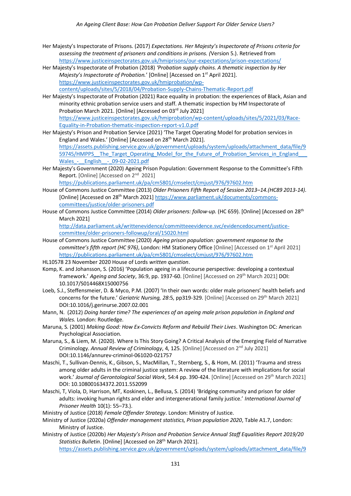- Her Majesty's Inspectorate of Prisons. (2017) *Expectations. Her Majesty's Inspectorate of Prisons criteria for assessing the treatment of prisoners and conditions in prisons. (*Version 5.). Retrieved from <https://www.justiceinspectorates.gov.uk/hmiprisons/our-expectations/prison-expectations/>
- Her Majesty's Inspectorate of Probation (2018) *'Probation supply chains. A thematic inspection by Her Majesty's Inspectorate of Probation.'* [Online] [Accessed on 1<sup>st</sup> April 2021]. [https://www.justiceinspectorates.gov.uk/hmiprobation/wp](https://www.justiceinspectorates.gov.uk/hmiprobation/wp-content/uploads/sites/5/2018/04/Probation-Supply-Chains-Thematic-Report.pdf)[content/uploads/sites/5/2018/04/Probation-Supply-Chains-Thematic-Report.pdf](https://www.justiceinspectorates.gov.uk/hmiprobation/wp-content/uploads/sites/5/2018/04/Probation-Supply-Chains-Thematic-Report.pdf)
- Her Majesty's Inspectorate of Probation (2021) Race equality in probation: the experiences of Black, Asian and minority ethnic probation service users and staff. A thematic inspection by HM Inspectorate of Probation March 2021. [Online] [Accessed on 03rd July 2021] [https://www.justiceinspectorates.gov.uk/hmiprobation/wp-content/uploads/sites/5/2021/03/Race-](https://www.justiceinspectorates.gov.uk/hmiprobation/wp-content/uploads/sites/5/2021/03/Race-Equality-in-Probation-thematic-inspection-report-v1.0.pdf)[Equality-in-Probation-thematic-inspection-report-v1.0.pdf](https://www.justiceinspectorates.gov.uk/hmiprobation/wp-content/uploads/sites/5/2021/03/Race-Equality-in-Probation-thematic-inspection-report-v1.0.pdf)
- Her Majesty's Prison and Probation Service (2021) 'The Target Operating Model for probation services in England and Wales.' [Online] [Accessed on 28<sup>th</sup> March 2021]. [https://assets.publishing.service.gov.uk/government/uploads/system/uploads/attachment\\_data/file/9](https://assets.publishing.service.gov.uk/government/uploads/system/uploads/attachment_data/file/959745/HMPPS__The_Target_Operating_Model_for_the_Future_of_Probation_Services_in_England___Wales_-__English__-_09-02-2021.pdf) 59745/HMPPS The Target Operating Model for the Future of Probation Services in England Wales - English - 09-02-2021.pdf
- Her Majesty's Government (2020) Ageing Prison Population: Government Response to the Committee's Fifth Report. [Online] [Accessed on 2<sup>nd</sup> 2021]

<https://publications.parliament.uk/pa/cm5801/cmselect/cmjust/976/97602.htm>

- House of Commons Justice Committee (2013) *Older Prisoners Fifth Report of Session 2013–14.(HC89 2013-14).*  [Online] [Accessed on 28th March 2021] [https://www.parliament.uk/documents/commons](https://www.parliament.uk/documents/commons-committees/justice/older-prisoners.pdf)[committees/justice/older-prisoners.pdf](https://www.parliament.uk/documents/commons-committees/justice/older-prisoners.pdf)
- House of Commons Justice Committee (2014) *[Older prisoners: follow-up.](http://www.parliament.uk/business/committees/committees-a-z/commons-select/justice-committee/one-off-sessions/parliament-2010/older-prisoners-follow-up/)* (HC 659). [Online] [Accessed on 28th March 2021]

[http://data.parliament.uk/writtenevidence/committeeevidence.svc/evidencedocument/justice](http://data.parliament.uk/writtenevidence/committeeevidence.svc/evidencedocument/justice-committee/older-prisoners-followup/oral/15020.html)[committee/older-prisoners-followup/oral/15020.html](http://data.parliament.uk/writtenevidence/committeeevidence.svc/evidencedocument/justice-committee/older-prisoners-followup/oral/15020.html)

- House of Commons Justice Committee (2020) *Ageing prison population: government response to the*  committee's fifth report (HC 976), London: HM Stationery Office [Online] [Accessed on 1<sup>st</sup> April 2021] <https://publications.parliament.uk/pa/cm5801/cmselect/cmjust/976/97602.htm>
- HL10578 23 November 2020 House of Lords *written question*.
- Komp, K. and Johansson, S. (2016) 'Population ageing in a lifecourse perspective: developing a contextual framework.' *Ageing and Society*, 36:9, pp. 1937-60. [Online] [Accessed on 29th March 2021] DOI: 10.1017/S014468X15000756
- Loeb, S.J., Steffensmeier, D. & Myco, P.M. (2007) 'In their own words: older male prisoners' health beliefs and concerns for the future.' *Geriatric Nursing, 28*:5, pp319-329. [Online] [Accessed on 29<sup>th</sup> March 2021] DOI:10.1016/j.gerinurse.2007.02.001
- Mann, N. (2012) *Doing harder time? The experiences of an ageing male prison population in England and Wales.* London: Routledge.
- Maruna, S. (2001) *Making Good: How Ex-Convicts Reform and Rebuild Their Lives*. Washington DC: American Psychological Association.
- Maruna, S., & Liem, M. (2020). Where Is This Story Going? A Critical Analysis of the Emerging Field of Narrative Criminology. *Annual Review of Criminology*, 4, 125. [Online] [Accessed on 2nd July 2021] DOI:10.1146/annurev-criminol-061020-021757
- Maschi, T., Sullivan-Dennis, K., Gibson, S., MacMillan, T., Sternberg, S., & Hom, M. (2011) 'Trauma and stress among older adults in the criminal justice system: A review of the literature with implications for social work.' *Journal of Gerontological Social Work*, 54:4 pp. 390-424. [Online] [Accessed on 29th March 2021] DOI: 10.108001634372.2011.552099
- Maschi, T, Viola, D, Harrison, MT, Koskinen, L., Bellusa, S. (2014) 'Bridging community and prison for older adults: invoking human rights and elder and intergenerational family justice.' *International Journal of Prisoner Health* 10(1): 55–73.).

Ministry of Justice (2018) *Female Offender Strategy*. London: Ministry of Justice.

Ministry of Justice (2020a) *Offender management statistics, Prison population 2020*, Table A1.7, London: Ministry of Justice.

Ministry of Justice (2020b) *Her Majesty's Prison and Probation Service Annual Staff Equalities Report 2019/20 Statistics Bulletin*. [Online] [Accessed on 28<sup>th</sup> March 2021]. [https://assets.publishing.service.gov.uk/government/uploads/system/uploads/attachment\\_data/file/9](https://assets.publishing.service.gov.uk/government/uploads/system/uploads/attachment_data/file/938131/hmpps-staff-equalities-report-2019-2020.doc.pdf)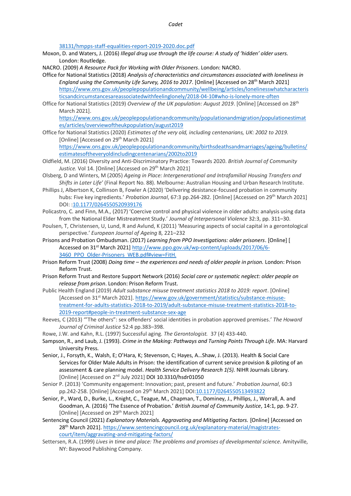#### *Cadet*

[38131/hmpps-staff-equalities-report-2019-2020.doc.pdf](https://assets.publishing.service.gov.uk/government/uploads/system/uploads/attachment_data/file/938131/hmpps-staff-equalities-report-2019-2020.doc.pdf)

Moxon, D. and Waters, J. (2016) *Illegal drug use through the life course: A study of 'hidden' older users.* London: Routledge.

NACRO. (2009) *A Resource Pack for Working with Older Prisoners*. London: NACRO.

- Office for National Statistics (2018) *Analysis of characteristics and circumstances associated with loneliness in England using the Community Life Survey, 2016 to 2017*. [Online] [Accessed on 28th March 2021] [https://www.ons.gov.uk/peoplepopulationandcommunity/wellbeing/articles/lonelinesswhatcharacteris](https://www.ons.gov.uk/peoplepopulationandcommunity/wellbeing/articles/lonelinesswhatcharacteristicsandcircumstancesareassociatedwithfeelinglonely/2018-04-10#who-is-lonely-more-often) [ticsandcircumstancesareassociatedwithfeelinglonely/2018-04-10#who-is-lonely-more-often](https://www.ons.gov.uk/peoplepopulationandcommunity/wellbeing/articles/lonelinesswhatcharacteristicsandcircumstancesareassociatedwithfeelinglonely/2018-04-10#who-is-lonely-more-often)
- Office for National Statistics (2019) *Overview of the UK population: August 2019*. [Online] [Accessed on 28th March 2021].

[https://www.ons.gov.uk/peoplepopulationandcommunity/populationandmigration/populationestimat](https://www.ons.gov.uk/peoplepopulationandcommunity/populationandmigration/populationestimates/articles/overviewoftheukpopulation/august2019) [es/articles/overviewoftheukpopulation/august2019](https://www.ons.gov.uk/peoplepopulationandcommunity/populationandmigration/populationestimates/articles/overviewoftheukpopulation/august2019)

- Office for National Statistics (2020) *Estimates of the very old, including centenarians, UK: 2002 to 2019.*  [Online] [Accessed on 29<sup>th</sup> March 2021] [https://www.ons.gov.uk/peoplepopulationandcommunity/birthsdeathsandmarriages/ageing/bulletins/](https://www.ons.gov.uk/peoplepopulationandcommunity/birthsdeathsandmarriages/ageing/bulletins/estimatesoftheveryoldincludingcentenarians/2002to2019) [estimatesoftheveryoldincludingcentenarians/2002to2019](https://www.ons.gov.uk/peoplepopulationandcommunity/birthsdeathsandmarriages/ageing/bulletins/estimatesoftheveryoldincludingcentenarians/2002to2019)
- Oldfield, M. (2016) Diversity and Anti-Discriminatory Practice: Towards 2020. *British Journal of Community* Justice. Vol 14. [Online] [Accessed on 29<sup>th</sup> March 2021]
- Olsberg, D and Winters, M (2005) *Ageing in Place: Intergenerational and Intrafamilial Housing Transfers and Shifts in Later Life'* (Final Report No. 88). Melbourne: Australian Housing and Urban Research Institute.
- Phillips J, Albertson K, Collinson B, Fowler A (2020) 'Delivering desistance-focused probation in community hubs: Five key ingredients.' *Probation Journal*, 67:3 pp.264-282. [Online] [Accessed on 29th March 2021] DOI: [:10.1177/0264550520939176](https://doi.org/10.1177/0264550520939176)
- Policastro, C. and Finn, M.A., (2017) 'Coercive control and physical violence in older adults: analysis using data from the National Elder Mistreatment Study.' *Journal of Interpersonal Violence* 32:3, pp. 311–30.
- Poulsen, T, Christensen, U, Lund, R and Avlund, K (2011) 'Measuring aspects of social capital in a gerontological perspective.' *European Journal of Ageing* 8, 221–232
- Prisons and Probation Ombudsman. (2017) *Learning from PPO Investigations: older prisoners*. [Online] [ Accessed on 31st March 2021] [http://www.ppo.gov.uk/wp-content/uploads/2017/06/6-](http://www.ppo.gov.uk/wp-content/uploads/2017/06/6-3460_PPO_Older-Prisoners_WEB.pdf#view=FitH) [3460\\_PPO\\_Older-Prisoners\\_WEB.pdf#view=FitH.](http://www.ppo.gov.uk/wp-content/uploads/2017/06/6-3460_PPO_Older-Prisoners_WEB.pdf#view=FitH)
- Prison Reform Trust (2008) *Doing time – the experiences and needs of older people in prison.* London: Prison Reform Trust.
- Prison Reform Trust and Restore Support Network (2016) *Social care or systematic neglect: older people on release from prison*. London: Prison Reform Trust.
- Public Health England (2019) *Adult substance misuse treatment statistics 2018 to 2019: report*. [Online] [Accessed on 31st March 2021][. https://www.gov.uk/government/statistics/substance-misuse](https://www.gov.uk/government/statistics/substance-misuse-treatment-for-adults-statistics-2018-to-2019/adult-substance-misuse-treatment-statistics-2018-to-2019-report#people-in-treatment-substance-sex-age)[treatment-for-adults-statistics-2018-to-2019/adult-substance-misuse-treatment-statistics-2018-to-](https://www.gov.uk/government/statistics/substance-misuse-treatment-for-adults-statistics-2018-to-2019/adult-substance-misuse-treatment-statistics-2018-to-2019-report#people-in-treatment-substance-sex-age)[2019-report#people-in-treatment-substance-sex-age](https://www.gov.uk/government/statistics/substance-misuse-treatment-for-adults-statistics-2018-to-2019/adult-substance-misuse-treatment-statistics-2018-to-2019-report#people-in-treatment-substance-sex-age)
- Reeves, C (2013) '"The others": sex offenders' social identities in probation approved premises.' *The Howard Journal of Criminal Justice* 52:4 pp.383–398.
- Rowe, J.W. and Kahn, R.L. (1997) Successful aging. *The Gerontologist.* 37 (4) 433-440.
- Sampson, R., and Laub, J. (1993). *Crime in the Making: Pathways and Turning Points Through Life*. MA: Harvard University Press.
- Senior, J., Forsyth, K., Walsh, E; O'Hara, K; Stevenson, C; Hayes, A…Shaw, J. (2013). Health & Social Care Services for Older Male Adults in Prison: the identification of current service provision & piloting of an assessment & care planning model. *Health Service Delivery Research 1(5).* NIHR Journals Library. [Online] [Accessed on 2<sup>nd</sup> July 2021] DOI 10.3310/hsdr01050
- Senior P. (2013) 'Community engagement: Innovation; past, present and future.' *Probation Journal*, 60:3 pp.242-258. [Online] [Accessed on 29th March 2021] DOI[:10.1177/0264550513493822](https://doi.org/10.1177/0264550513493822)
- Senior, P., Ward, D., Burke, L., Knight, C., Teague, M., Chapman, T., Dominey, J., Phillips, J., Worrall, A. and Goodman, A. (2016) 'The Essence of Probation.' *British Journal of Community Justice*, 14:1, pp. 9-27. [Online] [Accessed on 29<sup>th</sup> March 2021]
- Sentencing Council (2021) *Explanatory Materials. Aggravating and Mitigating Factors.* [Online] [Accessed on 28th March 2021]. [https://www.sentencingcouncil.org.uk/explanatory-material/magistrates](https://www.sentencingcouncil.org.uk/explanatory-material/magistrates-court/item/aggravating-and-mitigating-factors/)[court/item/aggravating-and-mitigating-factors/](https://www.sentencingcouncil.org.uk/explanatory-material/magistrates-court/item/aggravating-and-mitigating-factors/)
- Settersen, R.A. (1999) *Lives in time and place: The problems and promises of developmental science*. Amityville, NY: Baywood Publishing Company.